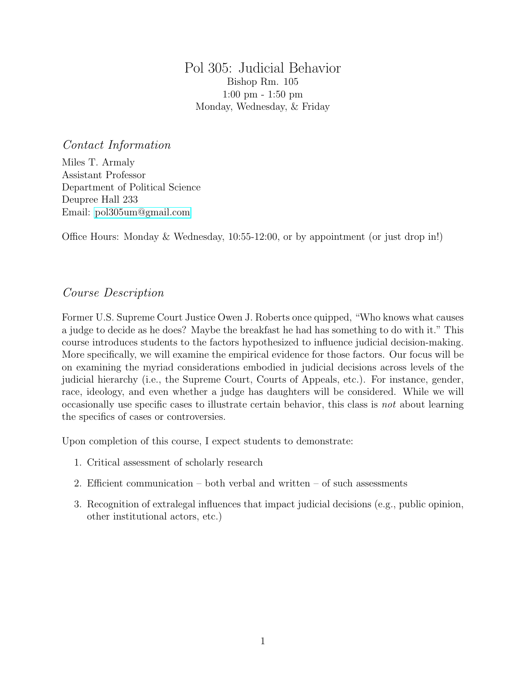Pol 305: Judicial Behavior Bishop Rm. 105 1:00 pm - 1:50 pm Monday, Wednesday, & Friday

Contact Information

Miles T. Armaly Assistant Professor Department of Political Science Deupree Hall 233 Email: [pol305um@gmail.com](mailto:pol305um@gmail.com)

Office Hours: Monday & Wednesday, 10:55-12:00, or by appointment (or just drop in!)

## Course Description

Former U.S. Supreme Court Justice Owen J. Roberts once quipped, "Who knows what causes a judge to decide as he does? Maybe the breakfast he had has something to do with it." This course introduces students to the factors hypothesized to influence judicial decision-making. More specifically, we will examine the empirical evidence for those factors. Our focus will be on examining the myriad considerations embodied in judicial decisions across levels of the judicial hierarchy (i.e., the Supreme Court, Courts of Appeals, etc.). For instance, gender, race, ideology, and even whether a judge has daughters will be considered. While we will occasionally use specific cases to illustrate certain behavior, this class is not about learning the specifics of cases or controversies.

Upon completion of this course, I expect students to demonstrate:

- 1. Critical assessment of scholarly research
- 2. Efficient communication both verbal and written of such assessments
- 3. Recognition of extralegal influences that impact judicial decisions (e.g., public opinion, other institutional actors, etc.)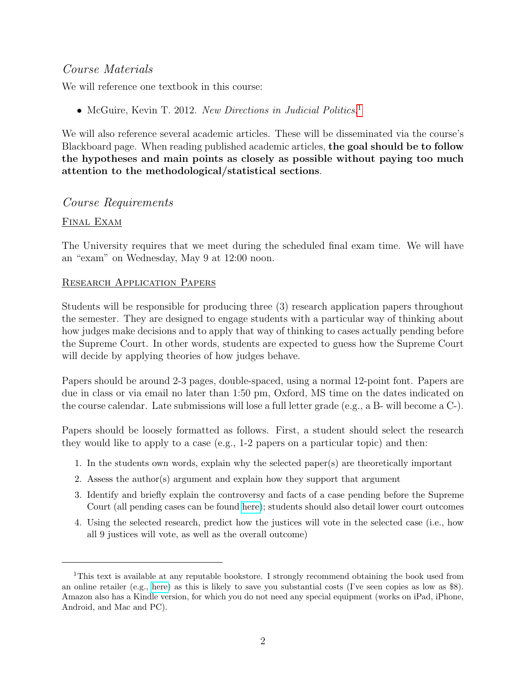## Course Materials

We will reference one textbook in this course:

• McGuire, Kevin T. 20[1](#page-1-0)2. New Directions in Judicial Politics.<sup>1</sup>

We will also reference several academic articles. These will be disseminated via the course's Blackboard page. When reading published academic articles, the goal should be to follow the hypotheses and main points as closely as possible without paying too much attention to the methodological/statistical sections.

## Course Requirements

#### Final Exam

The University requires that we meet during the scheduled final exam time. We will have an "exam" on Wednesday, May 9 at 12:00 noon.

#### Research Application Papers

Students will be responsible for producing three (3) research application papers throughout the semester. They are designed to engage students with a particular way of thinking about how judges make decisions and to apply that way of thinking to cases actually pending before the Supreme Court. In other words, students are expected to guess how the Supreme Court will decide by applying theories of how judges behave.

Papers should be around 2-3 pages, double-spaced, using a normal 12-point font. Papers are due in class or via email no later than 1:50 pm, Oxford, MS time on the dates indicated on the course calendar. Late submissions will lose a full letter grade (e.g., a B- will become a C-).

Papers should be loosely formatted as follows. First, a student should select the research they would like to apply to a case (e.g., 1-2 papers on a particular topic) and then:

- 1. In the students own words, explain why the selected paper(s) are theoretically important
- 2. Assess the author(s) argument and explain how they support that argument
- 3. Identify and briefly explain the controversy and facts of a case pending before the Supreme Court (all pending cases can be found [here\)](https://goo.gl/3gDSrC); students should also detail lower court outcomes
- 4. Using the selected research, predict how the justices will vote in the selected case (i.e., how all 9 justices will vote, as well as the overall outcome)

<span id="page-1-0"></span><sup>1</sup>This text is available at any reputable bookstore. I strongly recommend obtaining the book used from an online retailer (e.g., [here\)](https://goo.gl/3gDSrC) as this is likely to save you substantial costs (I've seen copies as low as \$8). Amazon also has a Kindle version, for which you do not need any special equipment (works on iPad, iPhone, Android, and Mac and PC).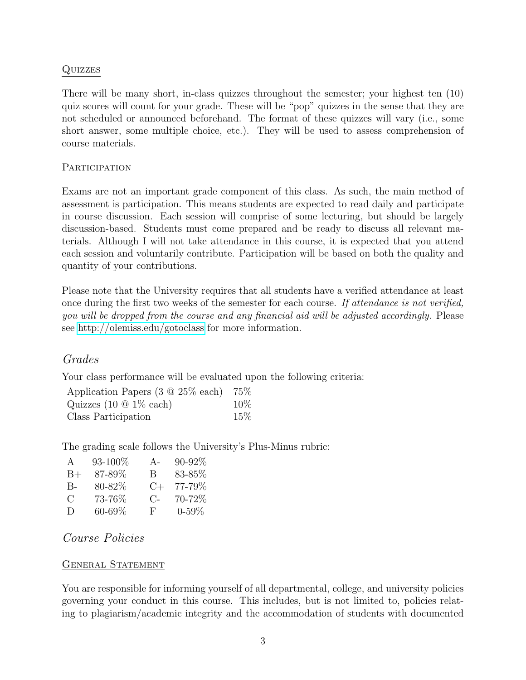### Quizzes

There will be many short, in-class quizzes throughout the semester; your highest ten (10) quiz scores will count for your grade. These will be "pop" quizzes in the sense that they are not scheduled or announced beforehand. The format of these quizzes will vary (i.e., some short answer, some multiple choice, etc.). They will be used to assess comprehension of course materials.

#### **PARTICIPATION**

Exams are not an important grade component of this class. As such, the main method of assessment is participation. This means students are expected to read daily and participate in course discussion. Each session will comprise of some lecturing, but should be largely discussion-based. Students must come prepared and be ready to discuss all relevant materials. Although I will not take attendance in this course, it is expected that you attend each session and voluntarily contribute. Participation will be based on both the quality and quantity of your contributions.

Please note that the University requires that all students have a verified attendance at least once during the first two weeks of the semester for each course. If attendance is not verified, you will be dropped from the course and any financial aid will be adjusted accordingly. Please see<http://olemiss.edu/gotoclass> for more information.

## Grades

Your class performance will be evaluated upon the following criteria:

| Application Papers $(3 \t{0} \t{25\%} \t{each})$ 75% |        |
|------------------------------------------------------|--------|
| Quizzes $(10 \t{0} \t{1}\t{6}$ each)                 | $10\%$ |
| Class Participation                                  | 15\%   |

The grading scale follows the University's Plus-Minus rubric:

| A     | 93-100%     | $A -$        | $90 - 92\%$ |
|-------|-------------|--------------|-------------|
| $B+$  | 87-89%      | B.           | 83-85%      |
| $B -$ | 80-82\%     | $C_{+}$      | 77-79%      |
| C     | 73-76%      | $C_{\Xi}$    | 70-72%      |
| D     | $60 - 69\%$ | $\mathbf{F}$ | $0 - 59\%$  |

# Course Policies

#### GENERAL STATEMENT

You are responsible for informing yourself of all departmental, college, and university policies governing your conduct in this course. This includes, but is not limited to, policies relating to plagiarism/academic integrity and the accommodation of students with documented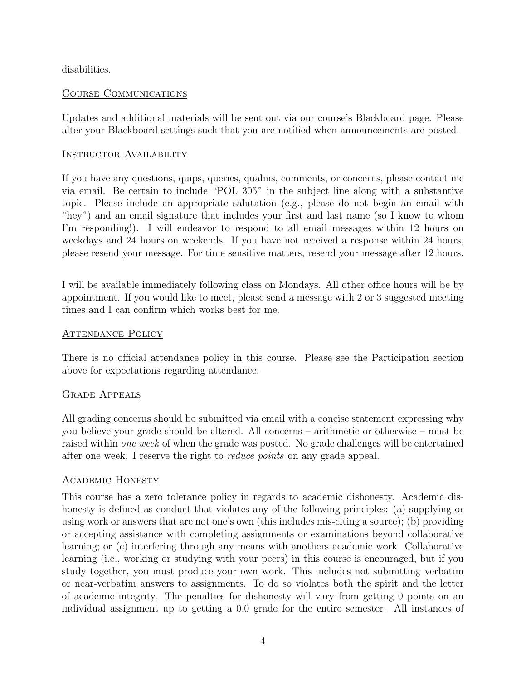### disabilities.

#### Course Communications

Updates and additional materials will be sent out via our course's Blackboard page. Please alter your Blackboard settings such that you are notified when announcements are posted.

#### Instructor Availability

If you have any questions, quips, queries, qualms, comments, or concerns, please contact me via email. Be certain to include "POL 305" in the subject line along with a substantive topic. Please include an appropriate salutation (e.g., please do not begin an email with "hey") and an email signature that includes your first and last name (so I know to whom I'm responding!). I will endeavor to respond to all email messages within 12 hours on weekdays and 24 hours on weekends. If you have not received a response within 24 hours, please resend your message. For time sensitive matters, resend your message after 12 hours.

I will be available immediately following class on Mondays. All other office hours will be by appointment. If you would like to meet, please send a message with 2 or 3 suggested meeting times and I can confirm which works best for me.

#### **ATTENDANCE POLICY**

There is no official attendance policy in this course. Please see the Participation section above for expectations regarding attendance.

#### Grade Appeals

All grading concerns should be submitted via email with a concise statement expressing why you believe your grade should be altered. All concerns – arithmetic or otherwise – must be raised within *one week* of when the grade was posted. No grade challenges will be entertained after one week. I reserve the right to reduce points on any grade appeal.

#### ACADEMIC HONESTY

This course has a zero tolerance policy in regards to academic dishonesty. Academic dishonesty is defined as conduct that violates any of the following principles: (a) supplying or using work or answers that are not one's own (this includes mis-citing a source); (b) providing or accepting assistance with completing assignments or examinations beyond collaborative learning; or (c) interfering through any means with anothers academic work. Collaborative learning (i.e., working or studying with your peers) in this course is encouraged, but if you study together, you must produce your own work. This includes not submitting verbatim or near-verbatim answers to assignments. To do so violates both the spirit and the letter of academic integrity. The penalties for dishonesty will vary from getting 0 points on an individual assignment up to getting a 0.0 grade for the entire semester. All instances of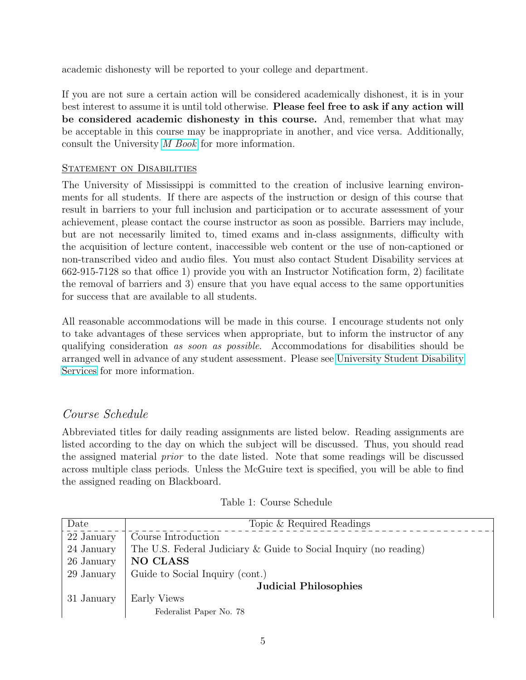academic dishonesty will be reported to your college and department.

If you are not sure a certain action will be considered academically dishonest, it is in your best interest to assume it is until told otherwise. Please feel free to ask if any action will be considered academic dishonesty in this course. And, remember that what may be acceptable in this course may be inappropriate in another, and vice versa. Additionally, consult the University [M Book](http://conflictresolution.olemiss.edu/wp-content/uploads/sites/2/2014/09/MBOOK20153.pdf) for more information.

### STATEMENT ON DISABILITIES

The University of Mississippi is committed to the creation of inclusive learning environments for all students. If there are aspects of the instruction or design of this course that result in barriers to your full inclusion and participation or to accurate assessment of your achievement, please contact the course instructor as soon as possible. Barriers may include, but are not necessarily limited to, timed exams and in-class assignments, difficulty with the acquisition of lecture content, inaccessible web content or the use of non-captioned or non-transcribed video and audio files. You must also contact Student Disability services at 662-915-7128 so that office 1) provide you with an Instructor Notification form, 2) facilitate the removal of barriers and 3) ensure that you have equal access to the same opportunities for success that are available to all students.

All reasonable accommodations will be made in this course. I encourage students not only to take advantages of these services when appropriate, but to inform the instructor of any qualifying consideration as soon as possible. Accommodations for disabilities should be arranged well in advance of any student assessment. Please see [University Student Disability](sds.olemiss.edu) [Services](sds.olemiss.edu) for more information.

# Course Schedule

Abbreviated titles for daily reading assignments are listed below. Reading assignments are listed according to the day on which the subject will be discussed. Thus, you should read the assigned material prior to the date listed. Note that some readings will be discussed across multiple class periods. Unless the McGuire text is specified, you will be able to find the assigned reading on Blackboard.

| Table 1: Course Schedule |  |
|--------------------------|--|
|--------------------------|--|

| Date       | Topic & Required Readings                                         |
|------------|-------------------------------------------------------------------|
| 22 January | Course Introduction                                               |
| 24 January | The U.S. Federal Judiciary & Guide to Social Inquiry (no reading) |
| 26 January | NO CLASS                                                          |
| 29 January | Guide to Social Inquiry (cont.)                                   |
|            | <b>Judicial Philosophies</b>                                      |
| 31 January | Early Views                                                       |
|            | Federalist Paper No. 78                                           |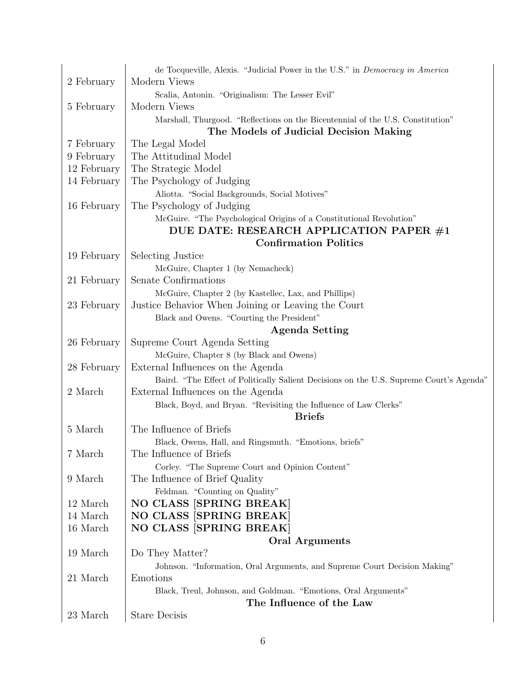|             | de Tocqueville, Alexis. "Judicial Power in the U.S." in <i>Democracy in America</i>     |
|-------------|-----------------------------------------------------------------------------------------|
| 2 February  | Modern Views                                                                            |
|             | Scalia, Antonin. "Originalism: The Lesser Evil"                                         |
| 5 February  | Modern Views                                                                            |
|             | Marshall, Thurgood. "Reflections on the Bicentennial of the U.S. Constitution"          |
|             | The Models of Judicial Decision Making                                                  |
| 7 February  | The Legal Model                                                                         |
| 9 February  | The Attitudinal Model                                                                   |
| 12 February | The Strategic Model                                                                     |
| 14 February | The Psychology of Judging                                                               |
|             | Aliotta. "Social Backgrounds, Social Motives"                                           |
| 16 February | The Psychology of Judging                                                               |
|             | McGuire. "The Psychological Origins of a Constitutional Revolution"                     |
|             | DUE DATE: RESEARCH APPLICATION PAPER #1                                                 |
|             | <b>Confirmation Politics</b>                                                            |
| 19 February | <b>Selecting Justice</b>                                                                |
|             | McGuire, Chapter 1 (by Nemacheck)                                                       |
| 21 February | Senate Confirmations                                                                    |
|             | McGuire, Chapter 2 (by Kastellec, Lax, and Phillips)                                    |
| 23 February | Justice Behavior When Joining or Leaving the Court                                      |
|             | Black and Owens. "Courting the President"                                               |
|             | <b>Agenda Setting</b>                                                                   |
| 26 February | Supreme Court Agenda Setting                                                            |
|             | McGuire, Chapter 8 (by Black and Owens)                                                 |
| 28 February | External Influences on the Agenda                                                       |
|             | Baird. "The Effect of Politically Salient Decisions on the U.S. Supreme Court's Agenda" |
| 2 March     | External Influences on the Agenda                                                       |
|             | Black, Boyd, and Bryan. "Revisiting the Influence of Law Clerks"                        |
|             | <b>Briefs</b>                                                                           |
| 5 March     | The Influence of Briefs                                                                 |
|             | Black, Owens, Hall, and Ringsmuth. "Emotions, briefs"                                   |
| 7 March     | The Influence of Briefs                                                                 |
|             | Corley. "The Supreme Court and Opinion Content"                                         |
| 9 March     | The Influence of Brief Quality                                                          |
|             | Feldman. "Counting on Quality"                                                          |
| 12 March    | NO CLASS [SPRING BREAK]                                                                 |
| 14 March    | <b>NO CLASS [SPRING BREAK]</b>                                                          |
| 16 March    | <b>NO CLASS [SPRING BREAK]</b>                                                          |
|             | <b>Oral Arguments</b>                                                                   |
| 19 March    | Do They Matter?                                                                         |
|             | Johnson. "Information, Oral Arguments, and Supreme Court Decision Making"               |
| 21 March    | Emotions                                                                                |
|             | Black, Treul, Johnson, and Goldman. "Emotions, Oral Arguments"                          |
|             | The Influence of the Law                                                                |
| 23 March    | <b>Stare Decisis</b>                                                                    |